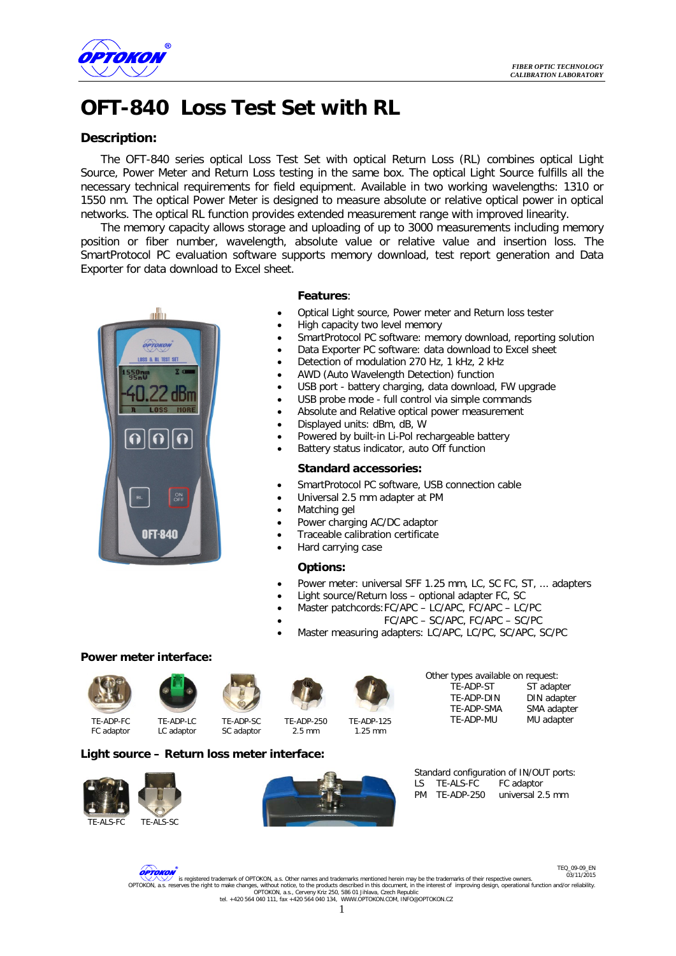

# **OFT-840 Loss Test Set with RL**

### **Description:**

The OFT-840 series optical Loss Test Set with optical Return Loss (RL) combines optical Light Source, Power Meter and Return Loss testing in the same box. The optical Light Source fulfills all the necessary technical requirements for field equipment. Available in two working wavelengths: 1310 or 1550 nm. The optical Power Meter is designed to measure absolute or relative optical power in optical networks. The optical RL function provides extended measurement range with improved linearity.

The memory capacity allows storage and uploading of up to 3000 measurements including memory position or fiber number, wavelength, absolute value or relative value and insertion loss. The SmartProtocol PC evaluation software supports memory download, test report generation and Data Exporter for data download to Excel sheet.



#### **Features**:

- Optical Light source, Power meter and Return loss tester
- High capacity two level memory
- SmartProtocol PC software: memory download, reporting solution
- Data Exporter PC software: data download to Excel sheet
- Detection of modulation 270 Hz, 1 kHz, 2 kHz
- AWD (Auto Wavelength Detection) function
- USB port battery charging, data download, FW upgrade
- USB probe mode full control via simple commands
- Absolute and Relative optical power measurement
- Displayed units: dBm, dB, W
- Powered by built-in Li-Pol rechargeable battery
- Battery status indicator, auto Off function

#### **Standard accessories:**

- SmartProtocol PC software, USB connection cable
- Universal 2.5 mm adapter at PM
- Matching gel
- Power charging AC/DC adaptor
- Traceable calibration certificate
- Hard carrying case

#### **Options:**

- Power meter: universal SFF 1.25 mm, LC, SC FC, ST, ... adapters
- Light source/Return loss optional adapter FC, SC
- Master patchcords:FC/APC LC/APC, FC/APC LC/PC
- FC/APC SC/APC, FC/APC SC/PC
- Master measuring adapters: LC/APC, LC/PC, SC/APC, SC/PC

#### **Power meter interface:**













1.25 mm



FC adaptor

TE-ADP-LC LC adaptor TE-ADP-SC

SC adaptor 2.5 mm

## **Light source – Return loss meter interface:**





Standard configuration of IN/OUT ports: LS TE-ALS-FC FC adaptor<br>PM TF-ADP-250 universal 2 universal 2.5 mm